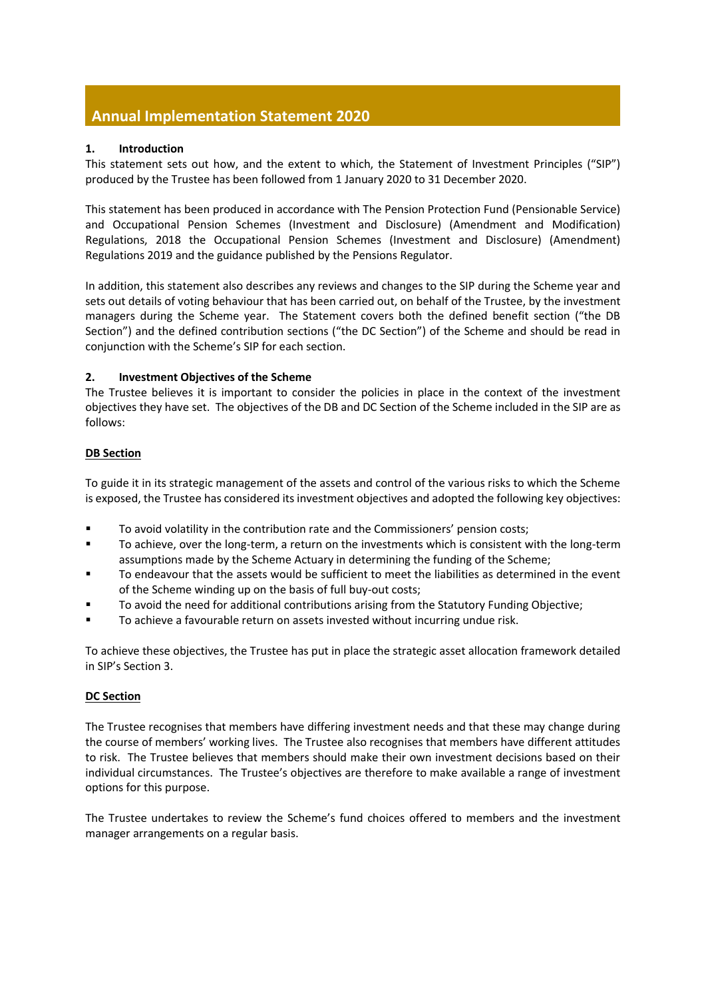# **Annual Implementation Statement 2020**

## **1. Introduction**

This statement sets out how, and the extent to which, the Statement of Investment Principles ("SIP") produced by the Trustee has been followed from 1 January 2020 to 31 December 2020.

This statement has been produced in accordance with The Pension Protection Fund (Pensionable Service) and Occupational Pension Schemes (Investment and Disclosure) (Amendment and Modification) Regulations, 2018 the Occupational Pension Schemes (Investment and Disclosure) (Amendment) Regulations 2019 and the guidance published by the Pensions Regulator.

In addition, this statement also describes any reviews and changes to the SIP during the Scheme year and sets out details of voting behaviour that has been carried out, on behalf of the Trustee, by the investment managers during the Scheme year. The Statement covers both the defined benefit section ("the DB Section") and the defined contribution sections ("the DC Section") of the Scheme and should be read in conjunction with the Scheme's SIP for each section.

# **2. Investment Objectives of the Scheme**

The Trustee believes it is important to consider the policies in place in the context of the investment objectives they have set. The objectives of the DB and DC Section of the Scheme included in the SIP are as follows:

# **DB Section**

To guide it in its strategic management of the assets and control of the various risks to which the Scheme is exposed, the Trustee has considered its investment objectives and adopted the following key objectives:

- To avoid volatility in the contribution rate and the Commissioners' pension costs;
- To achieve, over the long-term, a return on the investments which is consistent with the long-term assumptions made by the Scheme Actuary in determining the funding of the Scheme;
- To endeavour that the assets would be sufficient to meet the liabilities as determined in the event of the Scheme winding up on the basis of full buy-out costs;
- To avoid the need for additional contributions arising from the Statutory Funding Objective;
- To achieve a favourable return on assets invested without incurring undue risk.

To achieve these objectives, the Trustee has put in place the strategic asset allocation framework detailed in SIP's Section 3.

## **DC Section**

The Trustee recognises that members have differing investment needs and that these may change during the course of members' working lives. The Trustee also recognises that members have different attitudes to risk. The Trustee believes that members should make their own investment decisions based on their individual circumstances. The Trustee's objectives are therefore to make available a range of investment options for this purpose.

The Trustee undertakes to review the Scheme's fund choices offered to members and the investment manager arrangements on a regular basis.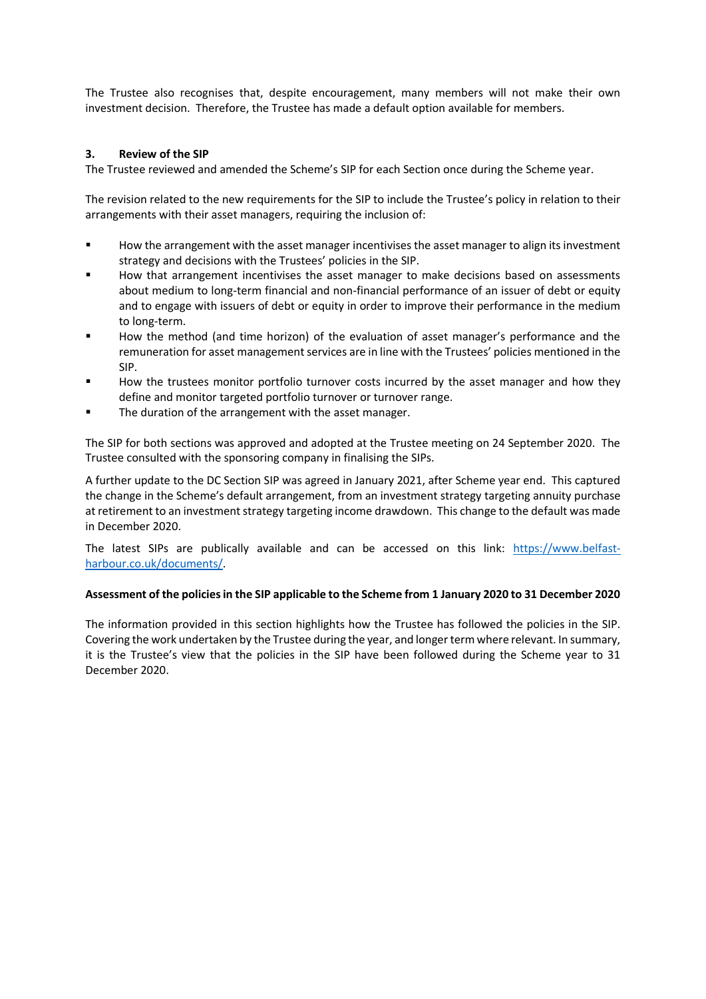The Trustee also recognises that, despite encouragement, many members will not make their own investment decision. Therefore, the Trustee has made a default option available for members.

## **3. Review of the SIP**

The Trustee reviewed and amended the Scheme's SIP for each Section once during the Scheme year.

The revision related to the new requirements for the SIP to include the Trustee's policy in relation to their arrangements with their asset managers, requiring the inclusion of:

- How the arrangement with the asset manager incentivises the asset manager to align its investment strategy and decisions with the Trustees' policies in the SIP.
- How that arrangement incentivises the asset manager to make decisions based on assessments about medium to long-term financial and non-financial performance of an issuer of debt or equity and to engage with issuers of debt or equity in order to improve their performance in the medium to long-term.
- How the method (and time horizon) of the evaluation of asset manager's performance and the remuneration for asset management services are in line with the Trustees' policies mentioned in the SIP.
- How the trustees monitor portfolio turnover costs incurred by the asset manager and how they define and monitor targeted portfolio turnover or turnover range.
- The duration of the arrangement with the asset manager.

The SIP for both sections was approved and adopted at the Trustee meeting on 24 September 2020. The Trustee consulted with the sponsoring company in finalising the SIPs.

A further update to the DC Section SIP was agreed in January 2021, after Scheme year end. This captured the change in the Scheme's default arrangement, from an investment strategy targeting annuity purchase at retirement to an investment strategy targeting income drawdown. This change to the default was made in December 2020.

The latest SIPs are publically available and can be accessed on this link: [https://www.belfast](https://www.belfast-harbour.co.uk/documents/)[harbour.co.uk/documents/.](https://www.belfast-harbour.co.uk/documents/)

## **Assessment of the policies in the SIP applicable to the Scheme from 1 January 2020 to 31 December 2020**

The information provided in this section highlights how the Trustee has followed the policies in the SIP. Covering the work undertaken by the Trustee during the year, and longer term where relevant. In summary, it is the Trustee's view that the policies in the SIP have been followed during the Scheme year to 31 December 2020.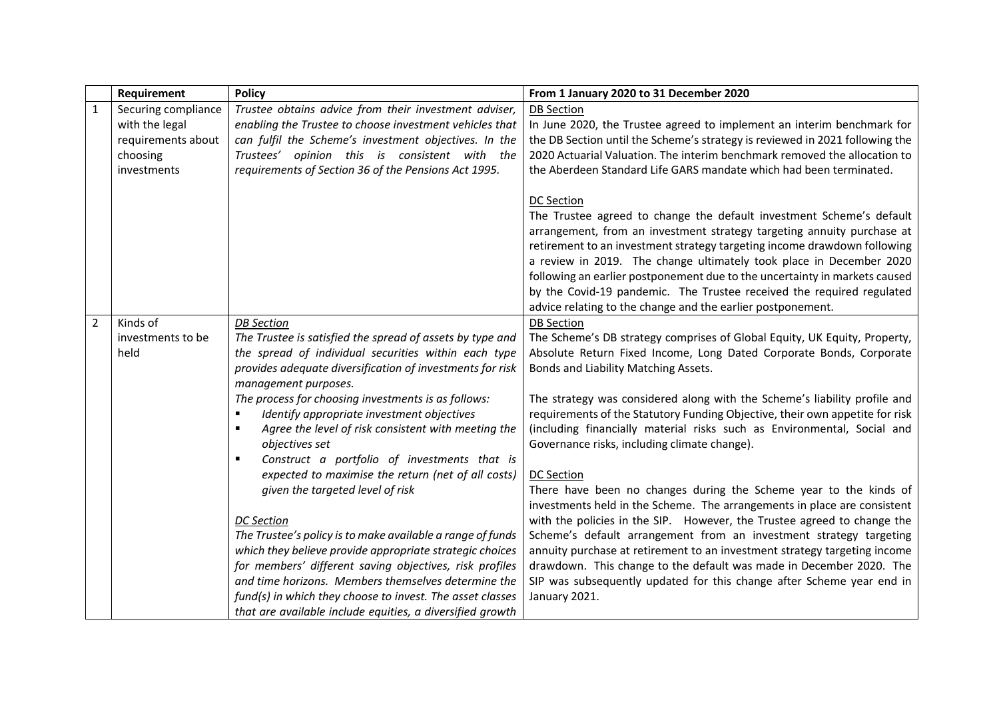|                | Requirement                                               | <b>Policy</b>                                              | From 1 January 2020 to 31 December 2020                                      |
|----------------|-----------------------------------------------------------|------------------------------------------------------------|------------------------------------------------------------------------------|
| $\mathbf{1}$   | Securing compliance                                       | Trustee obtains advice from their investment adviser,      | <b>DB</b> Section                                                            |
|                | with the legal                                            | enabling the Trustee to choose investment vehicles that    | In June 2020, the Trustee agreed to implement an interim benchmark for       |
|                | requirements about                                        | can fulfil the Scheme's investment objectives. In the      | the DB Section until the Scheme's strategy is reviewed in 2021 following the |
|                | choosing                                                  | Trustees' opinion this is consistent with the              | 2020 Actuarial Valuation. The interim benchmark removed the allocation to    |
|                | investments                                               | requirements of Section 36 of the Pensions Act 1995.       | the Aberdeen Standard Life GARS mandate which had been terminated.           |
|                |                                                           |                                                            |                                                                              |
|                |                                                           |                                                            | <b>DC Section</b>                                                            |
|                |                                                           |                                                            | The Trustee agreed to change the default investment Scheme's default         |
|                |                                                           |                                                            | arrangement, from an investment strategy targeting annuity purchase at       |
|                |                                                           |                                                            | retirement to an investment strategy targeting income drawdown following     |
|                |                                                           |                                                            | a review in 2019. The change ultimately took place in December 2020          |
|                |                                                           |                                                            | following an earlier postponement due to the uncertainty in markets caused   |
|                |                                                           |                                                            | by the Covid-19 pandemic. The Trustee received the required regulated        |
|                |                                                           |                                                            | advice relating to the change and the earlier postponement.                  |
| $\overline{2}$ | Kinds of                                                  | <b>DB</b> Section                                          | <b>DB Section</b>                                                            |
|                | investments to be                                         | The Trustee is satisfied the spread of assets by type and  | The Scheme's DB strategy comprises of Global Equity, UK Equity, Property,    |
|                | held                                                      | the spread of individual securities within each type       | Absolute Return Fixed Income, Long Dated Corporate Bonds, Corporate          |
|                | provides adequate diversification of investments for risk |                                                            | Bonds and Liability Matching Assets.                                         |
|                |                                                           | management purposes.                                       |                                                                              |
|                |                                                           | The process for choosing investments is as follows:        | The strategy was considered along with the Scheme's liability profile and    |
|                |                                                           | Identify appropriate investment objectives                 | requirements of the Statutory Funding Objective, their own appetite for risk |
|                |                                                           | Agree the level of risk consistent with meeting the<br>٠   | (including financially material risks such as Environmental, Social and      |
|                |                                                           | objectives set                                             | Governance risks, including climate change).                                 |
|                |                                                           | Construct a portfolio of investments that is               |                                                                              |
|                |                                                           | expected to maximise the return (net of all costs)         | <b>DC Section</b>                                                            |
|                |                                                           | given the targeted level of risk                           | There have been no changes during the Scheme year to the kinds of            |
|                |                                                           |                                                            | investments held in the Scheme. The arrangements in place are consistent     |
|                |                                                           | <b>DC</b> Section                                          | with the policies in the SIP. However, the Trustee agreed to change the      |
|                |                                                           | The Trustee's policy is to make available a range of funds | Scheme's default arrangement from an investment strategy targeting           |
|                |                                                           | which they believe provide appropriate strategic choices   | annuity purchase at retirement to an investment strategy targeting income    |
|                |                                                           | for members' different saving objectives, risk profiles    | drawdown. This change to the default was made in December 2020. The          |
|                |                                                           | and time horizons. Members themselves determine the        | SIP was subsequently updated for this change after Scheme year end in        |
|                |                                                           | fund(s) in which they choose to invest. The asset classes  | January 2021.                                                                |
|                |                                                           | that are available include equities, a diversified growth  |                                                                              |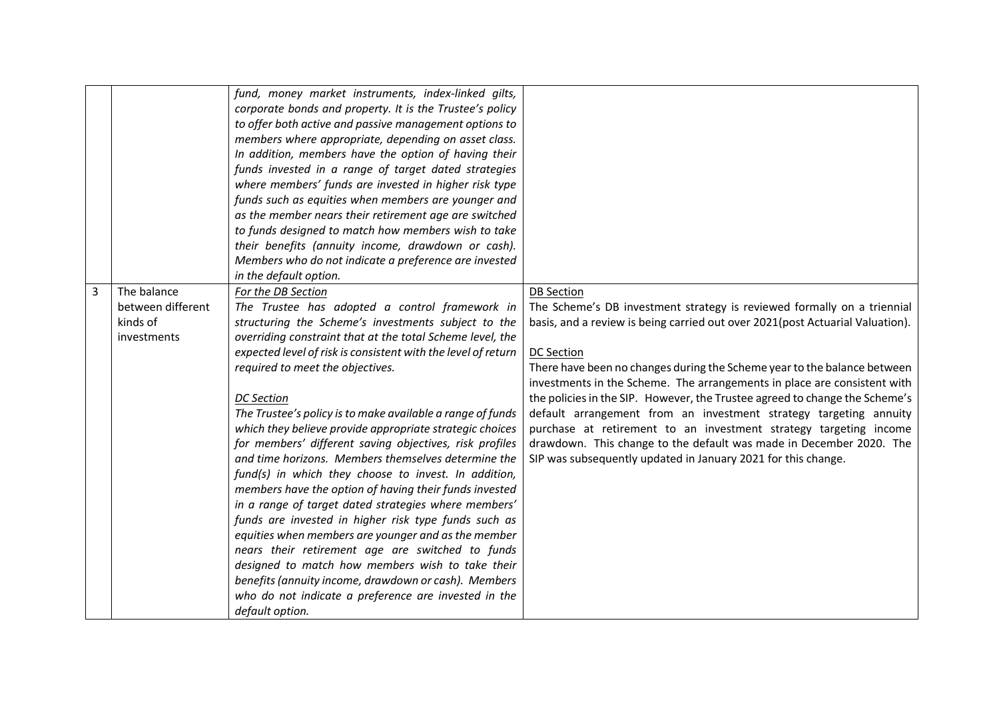|   |                                                             | fund, money market instruments, index-linked gilts,<br>corporate bonds and property. It is the Trustee's policy<br>to offer both active and passive management options to<br>members where appropriate, depending on asset class.<br>In addition, members have the option of having their<br>funds invested in a range of target dated strategies<br>where members' funds are invested in higher risk type<br>funds such as equities when members are younger and<br>as the member nears their retirement age are switched<br>to funds designed to match how members wish to take<br>their benefits (annuity income, drawdown or cash).<br>Members who do not indicate a preference are invested<br>in the default option.                                                                                                                                                                                                                                                                                                                                                                         |                                                                                                                                                                                                                                                                                                                                                                                                                                                                                                                                                                                                                                                                                                                             |
|---|-------------------------------------------------------------|----------------------------------------------------------------------------------------------------------------------------------------------------------------------------------------------------------------------------------------------------------------------------------------------------------------------------------------------------------------------------------------------------------------------------------------------------------------------------------------------------------------------------------------------------------------------------------------------------------------------------------------------------------------------------------------------------------------------------------------------------------------------------------------------------------------------------------------------------------------------------------------------------------------------------------------------------------------------------------------------------------------------------------------------------------------------------------------------------|-----------------------------------------------------------------------------------------------------------------------------------------------------------------------------------------------------------------------------------------------------------------------------------------------------------------------------------------------------------------------------------------------------------------------------------------------------------------------------------------------------------------------------------------------------------------------------------------------------------------------------------------------------------------------------------------------------------------------------|
| 3 | The balance<br>between different<br>kinds of<br>investments | For the DB Section<br>The Trustee has adopted a control framework in<br>structuring the Scheme's investments subject to the<br>overriding constraint that at the total Scheme level, the<br>expected level of risk is consistent with the level of return<br>required to meet the objectives.<br><b>DC</b> Section<br>The Trustee's policy is to make available a range of funds<br>which they believe provide appropriate strategic choices<br>for members' different saving objectives, risk profiles<br>and time horizons. Members themselves determine the<br>fund(s) in which they choose to invest. In addition,<br>members have the option of having their funds invested<br>in a range of target dated strategies where members'<br>funds are invested in higher risk type funds such as<br>equities when members are younger and as the member<br>nears their retirement age are switched to funds<br>designed to match how members wish to take their<br>benefits (annuity income, drawdown or cash). Members<br>who do not indicate a preference are invested in the<br>default option. | <b>DB Section</b><br>The Scheme's DB investment strategy is reviewed formally on a triennial<br>basis, and a review is being carried out over 2021(post Actuarial Valuation).<br><b>DC Section</b><br>There have been no changes during the Scheme year to the balance between<br>investments in the Scheme. The arrangements in place are consistent with<br>the policies in the SIP. However, the Trustee agreed to change the Scheme's<br>default arrangement from an investment strategy targeting annuity<br>purchase at retirement to an investment strategy targeting income<br>drawdown. This change to the default was made in December 2020. The<br>SIP was subsequently updated in January 2021 for this change. |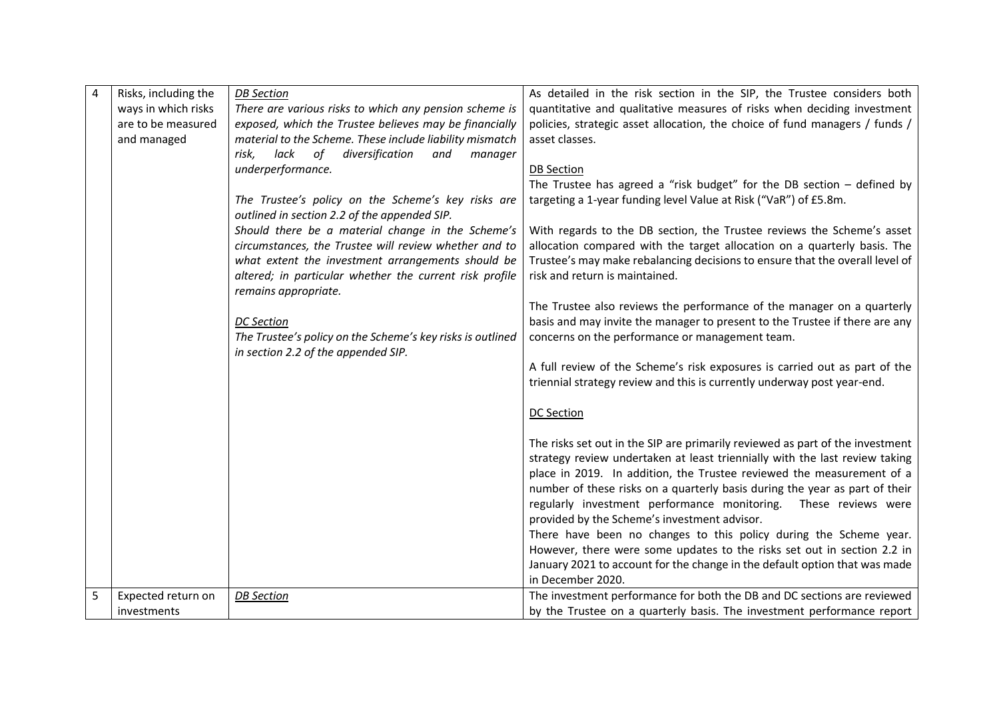| $\overline{4}$ | Risks, including the | <b>DB</b> Section                                                                                  | As detailed in the risk section in the SIP, the Trustee considers both                          |
|----------------|----------------------|----------------------------------------------------------------------------------------------------|-------------------------------------------------------------------------------------------------|
|                | ways in which risks  | There are various risks to which any pension scheme is                                             | quantitative and qualitative measures of risks when deciding investment                         |
|                | are to be measured   | exposed, which the Trustee believes may be financially                                             | policies, strategic asset allocation, the choice of fund managers / funds /                     |
|                | and managed          | material to the Scheme. These include liability mismatch                                           | asset classes.                                                                                  |
|                |                      | diversification<br>risk,<br>lack<br>of<br>and<br>manager                                           |                                                                                                 |
|                |                      | underperformance.                                                                                  | <b>DB Section</b>                                                                               |
|                |                      |                                                                                                    | The Trustee has agreed a "risk budget" for the DB section $-$ defined by                        |
|                |                      | The Trustee's policy on the Scheme's key risks are<br>outlined in section 2.2 of the appended SIP. | targeting a 1-year funding level Value at Risk ("VaR") of £5.8m.                                |
|                |                      | Should there be a material change in the Scheme's                                                  | With regards to the DB section, the Trustee reviews the Scheme's asset                          |
|                |                      | circumstances, the Trustee will review whether and to                                              | allocation compared with the target allocation on a quarterly basis. The                        |
|                |                      | what extent the investment arrangements should be                                                  | Trustee's may make rebalancing decisions to ensure that the overall level of                    |
|                |                      | altered; in particular whether the current risk profile                                            | risk and return is maintained.                                                                  |
|                |                      | remains appropriate.                                                                               |                                                                                                 |
|                |                      |                                                                                                    | The Trustee also reviews the performance of the manager on a quarterly                          |
|                |                      | <b>DC</b> Section                                                                                  | basis and may invite the manager to present to the Trustee if there are any                     |
|                |                      | The Trustee's policy on the Scheme's key risks is outlined                                         | concerns on the performance or management team.                                                 |
|                |                      | in section 2.2 of the appended SIP.                                                                |                                                                                                 |
|                |                      |                                                                                                    | A full review of the Scheme's risk exposures is carried out as part of the                      |
|                |                      |                                                                                                    | triennial strategy review and this is currently underway post year-end.                         |
|                |                      |                                                                                                    |                                                                                                 |
|                |                      |                                                                                                    | DC Section                                                                                      |
|                |                      |                                                                                                    |                                                                                                 |
|                |                      |                                                                                                    | The risks set out in the SIP are primarily reviewed as part of the investment                   |
|                |                      |                                                                                                    | strategy review undertaken at least triennially with the last review taking                     |
|                |                      |                                                                                                    | place in 2019. In addition, the Trustee reviewed the measurement of a                           |
|                |                      |                                                                                                    | number of these risks on a quarterly basis during the year as part of their                     |
|                |                      |                                                                                                    | regularly investment performance monitoring.<br>These reviews were                              |
|                |                      |                                                                                                    | provided by the Scheme's investment advisor.                                                    |
|                |                      |                                                                                                    | There have been no changes to this policy during the Scheme year.                               |
|                |                      |                                                                                                    | However, there were some updates to the risks set out in section 2.2 in                         |
|                |                      |                                                                                                    | January 2021 to account for the change in the default option that was made<br>in December 2020. |
| 5              | Expected return on   | <b>DB</b> Section                                                                                  | The investment performance for both the DB and DC sections are reviewed                         |
|                |                      |                                                                                                    |                                                                                                 |
|                | investments          |                                                                                                    | by the Trustee on a quarterly basis. The investment performance report                          |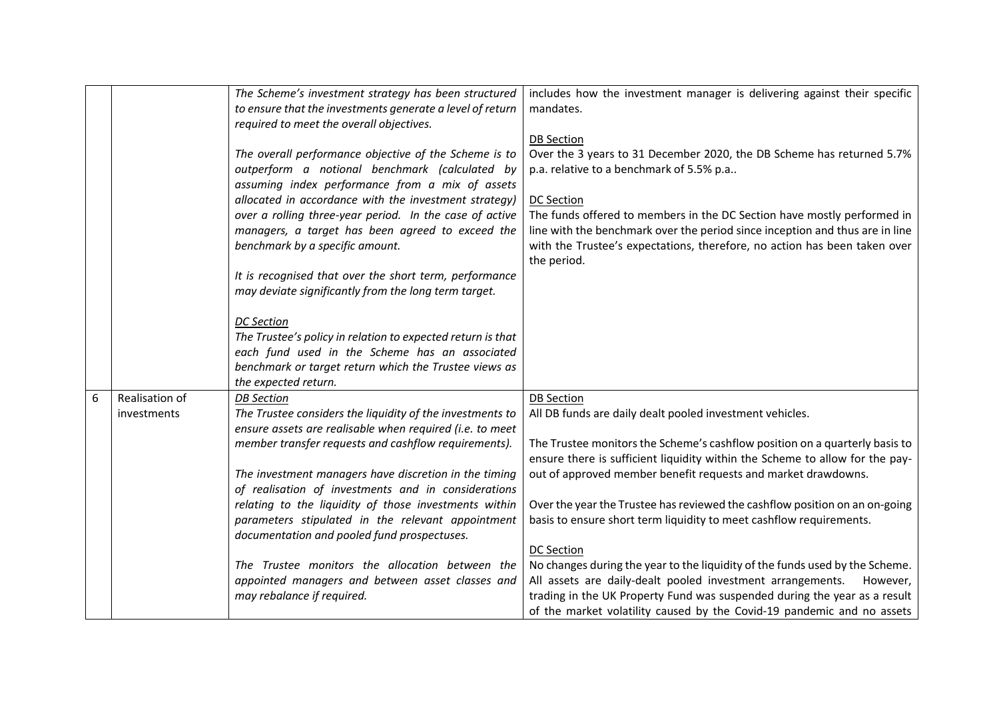|   |                | The Scheme's investment strategy has been structured        | includes how the investment manager is delivering against their specific     |
|---|----------------|-------------------------------------------------------------|------------------------------------------------------------------------------|
|   |                | to ensure that the investments generate a level of return   | mandates.                                                                    |
|   |                | required to meet the overall objectives.                    |                                                                              |
|   |                |                                                             | <b>DB</b> Section                                                            |
|   |                | The overall performance objective of the Scheme is to       | Over the 3 years to 31 December 2020, the DB Scheme has returned 5.7%        |
|   |                | outperform a notional benchmark (calculated by              | p.a. relative to a benchmark of 5.5% p.a                                     |
|   |                | assuming index performance from a mix of assets             |                                                                              |
|   |                | allocated in accordance with the investment strategy)       | <b>DC Section</b>                                                            |
|   |                | over a rolling three-year period. In the case of active     | The funds offered to members in the DC Section have mostly performed in      |
|   |                | managers, a target has been agreed to exceed the            | line with the benchmark over the period since inception and thus are in line |
|   |                | benchmark by a specific amount.                             | with the Trustee's expectations, therefore, no action has been taken over    |
|   |                |                                                             | the period.                                                                  |
|   |                | It is recognised that over the short term, performance      |                                                                              |
|   |                | may deviate significantly from the long term target.        |                                                                              |
|   |                |                                                             |                                                                              |
|   |                | <b>DC</b> Section                                           |                                                                              |
|   |                | The Trustee's policy in relation to expected return is that |                                                                              |
|   |                | each fund used in the Scheme has an associated              |                                                                              |
|   |                | benchmark or target return which the Trustee views as       |                                                                              |
|   |                | the expected return.                                        |                                                                              |
| 6 | Realisation of | <b>DB</b> Section                                           | <b>DB</b> Section                                                            |
|   | investments    | The Trustee considers the liquidity of the investments to   | All DB funds are daily dealt pooled investment vehicles.                     |
|   |                | ensure assets are realisable when required (i.e. to meet    |                                                                              |
|   |                | member transfer requests and cashflow requirements).        | The Trustee monitors the Scheme's cashflow position on a quarterly basis to  |
|   |                |                                                             | ensure there is sufficient liquidity within the Scheme to allow for the pay- |
|   |                | The investment managers have discretion in the timing       | out of approved member benefit requests and market drawdowns.                |
|   |                | of realisation of investments and in considerations         |                                                                              |
|   |                | relating to the liquidity of those investments within       | Over the year the Trustee has reviewed the cashflow position on an on-going  |
|   |                | parameters stipulated in the relevant appointment           | basis to ensure short term liquidity to meet cashflow requirements.          |
|   |                | documentation and pooled fund prospectuses.                 |                                                                              |
|   |                |                                                             | <b>DC Section</b>                                                            |
|   |                | The Trustee monitors the allocation between the             | No changes during the year to the liquidity of the funds used by the Scheme. |
|   |                | appointed managers and between asset classes and            | All assets are daily-dealt pooled investment arrangements.<br>However,       |
|   |                | may rebalance if required.                                  | trading in the UK Property Fund was suspended during the year as a result    |
|   |                |                                                             | of the market volatility caused by the Covid-19 pandemic and no assets       |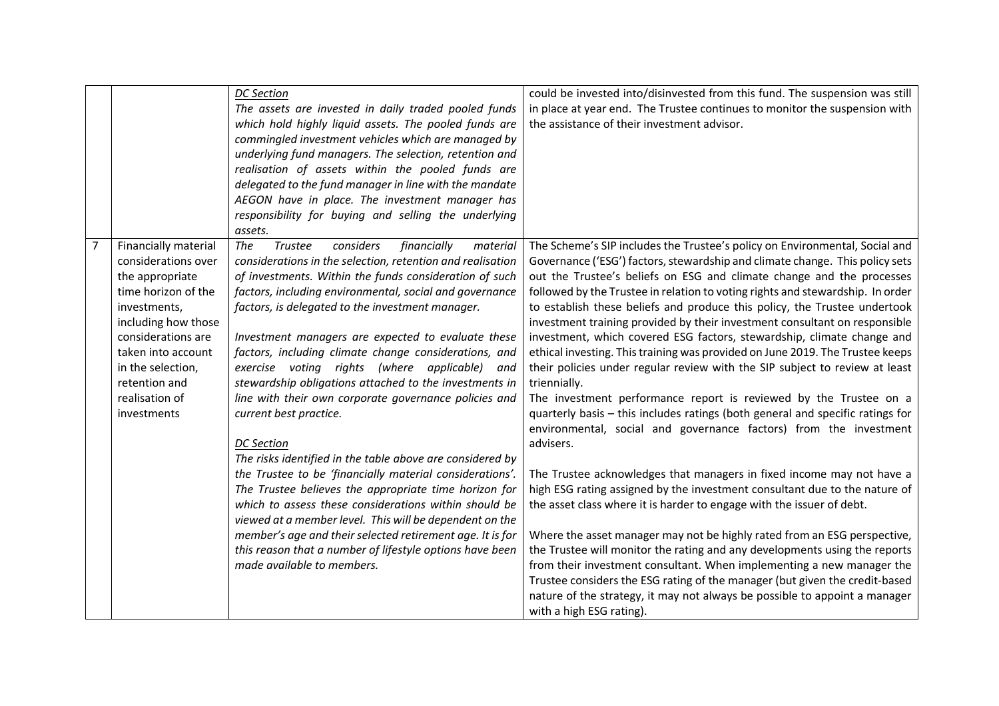|                |                                                                                                                                                                                                                                                 | <b>DC</b> Section<br>The assets are invested in daily traded pooled funds<br>which hold highly liquid assets. The pooled funds are<br>commingled investment vehicles which are managed by<br>underlying fund managers. The selection, retention and<br>realisation of assets within the pooled funds are<br>delegated to the fund manager in line with the mandate<br>AEGON have in place. The investment manager has<br>responsibility for buying and selling the underlying<br>assets.                                                                                                                                                                                                                                                                                                                                                                                                                                                                                                                                                                                                        | could be invested into/disinvested from this fund. The suspension was still<br>in place at year end. The Trustee continues to monitor the suspension with<br>the assistance of their investment advisor.                                                                                                                                                                                                                                                                                                                                                                                                                                                                                                                                                                                                                                                                                                                                                                                                                                                                                                                                                                                                                                                                                                                                                                                                                                                                                                                                                                                                                                         |
|----------------|-------------------------------------------------------------------------------------------------------------------------------------------------------------------------------------------------------------------------------------------------|-------------------------------------------------------------------------------------------------------------------------------------------------------------------------------------------------------------------------------------------------------------------------------------------------------------------------------------------------------------------------------------------------------------------------------------------------------------------------------------------------------------------------------------------------------------------------------------------------------------------------------------------------------------------------------------------------------------------------------------------------------------------------------------------------------------------------------------------------------------------------------------------------------------------------------------------------------------------------------------------------------------------------------------------------------------------------------------------------|--------------------------------------------------------------------------------------------------------------------------------------------------------------------------------------------------------------------------------------------------------------------------------------------------------------------------------------------------------------------------------------------------------------------------------------------------------------------------------------------------------------------------------------------------------------------------------------------------------------------------------------------------------------------------------------------------------------------------------------------------------------------------------------------------------------------------------------------------------------------------------------------------------------------------------------------------------------------------------------------------------------------------------------------------------------------------------------------------------------------------------------------------------------------------------------------------------------------------------------------------------------------------------------------------------------------------------------------------------------------------------------------------------------------------------------------------------------------------------------------------------------------------------------------------------------------------------------------------------------------------------------------------|
| $\overline{7}$ | Financially material<br>considerations over<br>the appropriate<br>time horizon of the<br>investments,<br>including how those<br>considerations are<br>taken into account<br>in the selection,<br>retention and<br>realisation of<br>investments | The<br>Trustee<br>considers<br>financially<br>material<br>considerations in the selection, retention and realisation<br>of investments. Within the funds consideration of such<br>factors, including environmental, social and governance<br>factors, is delegated to the investment manager.<br>Investment managers are expected to evaluate these<br>factors, including climate change considerations, and<br>exercise voting rights (where applicable)<br>and<br>stewardship obligations attached to the investments in<br>line with their own corporate governance policies and<br>current best practice.<br><b>DC</b> Section<br>The risks identified in the table above are considered by<br>the Trustee to be 'financially material considerations'.<br>The Trustee believes the appropriate time horizon for<br>which to assess these considerations within should be<br>viewed at a member level. This will be dependent on the<br>member's age and their selected retirement age. It is for<br>this reason that a number of lifestyle options have been<br>made available to members. | The Scheme's SIP includes the Trustee's policy on Environmental, Social and<br>Governance ('ESG') factors, stewardship and climate change. This policy sets<br>out the Trustee's beliefs on ESG and climate change and the processes<br>followed by the Trustee in relation to voting rights and stewardship. In order<br>to establish these beliefs and produce this policy, the Trustee undertook<br>investment training provided by their investment consultant on responsible<br>investment, which covered ESG factors, stewardship, climate change and<br>ethical investing. This training was provided on June 2019. The Trustee keeps<br>their policies under regular review with the SIP subject to review at least<br>triennially.<br>The investment performance report is reviewed by the Trustee on a<br>quarterly basis - this includes ratings (both general and specific ratings for<br>environmental, social and governance factors) from the investment<br>advisers.<br>The Trustee acknowledges that managers in fixed income may not have a<br>high ESG rating assigned by the investment consultant due to the nature of<br>the asset class where it is harder to engage with the issuer of debt.<br>Where the asset manager may not be highly rated from an ESG perspective,<br>the Trustee will monitor the rating and any developments using the reports<br>from their investment consultant. When implementing a new manager the<br>Trustee considers the ESG rating of the manager (but given the credit-based<br>nature of the strategy, it may not always be possible to appoint a manager<br>with a high ESG rating). |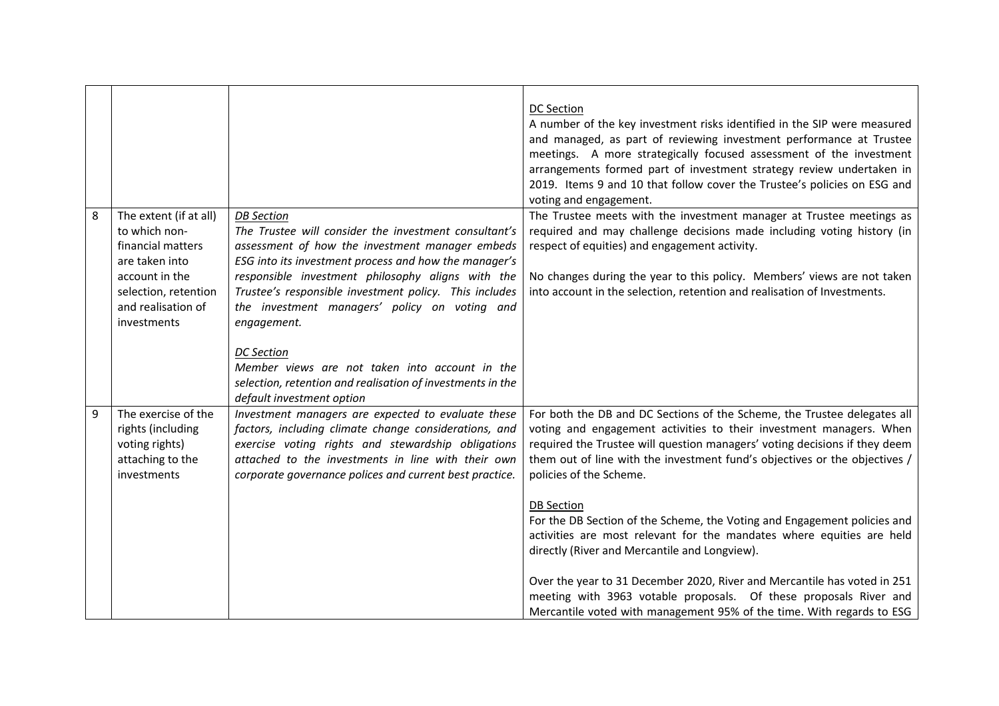|   |                                                                                                                                                               |                                                                                                                                                                                                                                                                                                                                                                       | <b>DC Section</b><br>A number of the key investment risks identified in the SIP were measured<br>and managed, as part of reviewing investment performance at Trustee<br>meetings. A more strategically focused assessment of the investment<br>arrangements formed part of investment strategy review undertaken in<br>2019. Items 9 and 10 that follow cover the Trustee's policies on ESG and<br>voting and engagement. |
|---|---------------------------------------------------------------------------------------------------------------------------------------------------------------|-----------------------------------------------------------------------------------------------------------------------------------------------------------------------------------------------------------------------------------------------------------------------------------------------------------------------------------------------------------------------|---------------------------------------------------------------------------------------------------------------------------------------------------------------------------------------------------------------------------------------------------------------------------------------------------------------------------------------------------------------------------------------------------------------------------|
| 8 | The extent (if at all)<br>to which non-<br>financial matters<br>are taken into<br>account in the<br>selection, retention<br>and realisation of<br>investments | <b>DB</b> Section<br>The Trustee will consider the investment consultant's<br>assessment of how the investment manager embeds<br>ESG into its investment process and how the manager's<br>responsible investment philosophy aligns with the<br>Trustee's responsible investment policy. This includes<br>the investment managers' policy on voting and<br>engagement. | The Trustee meets with the investment manager at Trustee meetings as<br>required and may challenge decisions made including voting history (in<br>respect of equities) and engagement activity.<br>No changes during the year to this policy. Members' views are not taken<br>into account in the selection, retention and realisation of Investments.                                                                    |
|   |                                                                                                                                                               | <b>DC</b> Section<br>Member views are not taken into account in the<br>selection, retention and realisation of investments in the<br>default investment option                                                                                                                                                                                                        |                                                                                                                                                                                                                                                                                                                                                                                                                           |
| 9 | The exercise of the<br>rights (including<br>voting rights)<br>attaching to the<br>investments                                                                 | Investment managers are expected to evaluate these<br>factors, including climate change considerations, and<br>exercise voting rights and stewardship obligations<br>attached to the investments in line with their own<br>corporate governance polices and current best practice.                                                                                    | For both the DB and DC Sections of the Scheme, the Trustee delegates all<br>voting and engagement activities to their investment managers. When<br>required the Trustee will question managers' voting decisions if they deem<br>them out of line with the investment fund's objectives or the objectives /<br>policies of the Scheme.                                                                                    |
|   |                                                                                                                                                               |                                                                                                                                                                                                                                                                                                                                                                       | <b>DB</b> Section<br>For the DB Section of the Scheme, the Voting and Engagement policies and<br>activities are most relevant for the mandates where equities are held<br>directly (River and Mercantile and Longview).                                                                                                                                                                                                   |
|   |                                                                                                                                                               |                                                                                                                                                                                                                                                                                                                                                                       | Over the year to 31 December 2020, River and Mercantile has voted in 251<br>meeting with 3963 votable proposals. Of these proposals River and<br>Mercantile voted with management 95% of the time. With regards to ESG                                                                                                                                                                                                    |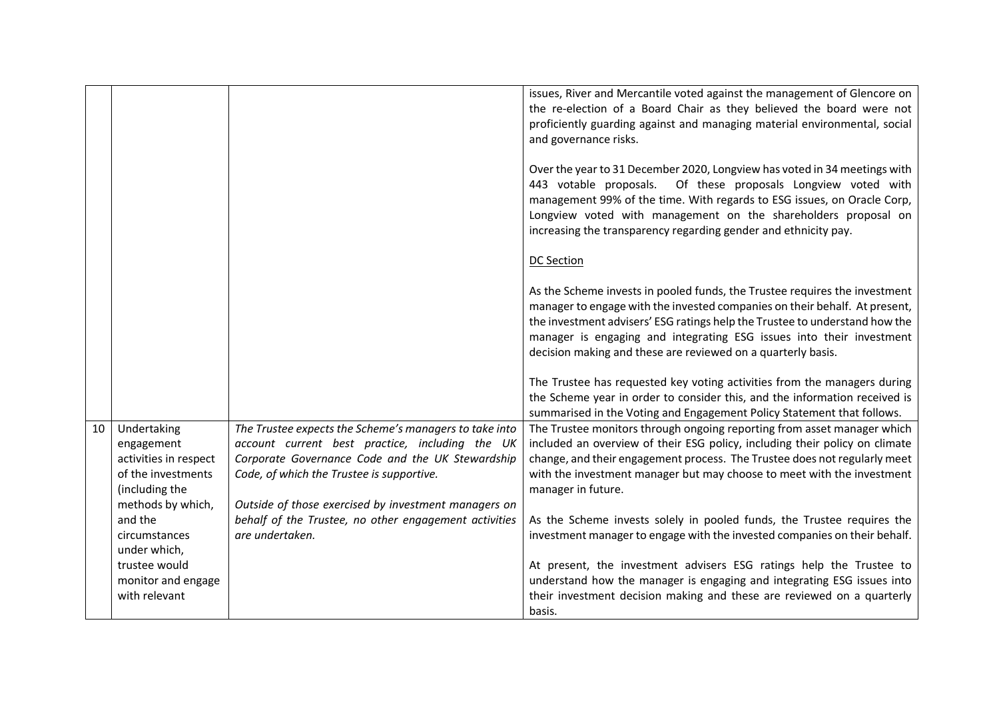|    |                       |                                                        | issues, River and Mercantile voted against the management of Glencore on    |
|----|-----------------------|--------------------------------------------------------|-----------------------------------------------------------------------------|
|    |                       |                                                        | the re-election of a Board Chair as they believed the board were not        |
|    |                       |                                                        | proficiently guarding against and managing material environmental, social   |
|    |                       |                                                        | and governance risks.                                                       |
|    |                       |                                                        |                                                                             |
|    |                       |                                                        | Over the year to 31 December 2020, Longview has voted in 34 meetings with   |
|    |                       |                                                        | Of these proposals Longview voted with<br>443 votable proposals.            |
|    |                       |                                                        | management 99% of the time. With regards to ESG issues, on Oracle Corp,     |
|    |                       |                                                        | Longview voted with management on the shareholders proposal on              |
|    |                       |                                                        | increasing the transparency regarding gender and ethnicity pay.             |
|    |                       |                                                        | <b>DC Section</b>                                                           |
|    |                       |                                                        |                                                                             |
|    |                       |                                                        | As the Scheme invests in pooled funds, the Trustee requires the investment  |
|    |                       |                                                        | manager to engage with the invested companies on their behalf. At present,  |
|    |                       |                                                        | the investment advisers' ESG ratings help the Trustee to understand how the |
|    |                       |                                                        | manager is engaging and integrating ESG issues into their investment        |
|    |                       |                                                        | decision making and these are reviewed on a quarterly basis.                |
|    |                       |                                                        |                                                                             |
|    |                       |                                                        | The Trustee has requested key voting activities from the managers during    |
|    |                       |                                                        | the Scheme year in order to consider this, and the information received is  |
|    |                       |                                                        | summarised in the Voting and Engagement Policy Statement that follows.      |
| 10 | Undertaking           | The Trustee expects the Scheme's managers to take into | The Trustee monitors through ongoing reporting from asset manager which     |
|    | engagement            | account current best practice, including the UK        | included an overview of their ESG policy, including their policy on climate |
|    | activities in respect | Corporate Governance Code and the UK Stewardship       | change, and their engagement process. The Trustee does not regularly meet   |
|    | of the investments    | Code, of which the Trustee is supportive.              | with the investment manager but may choose to meet with the investment      |
|    | (including the        |                                                        | manager in future.                                                          |
|    | methods by which,     | Outside of those exercised by investment managers on   |                                                                             |
|    | and the               | behalf of the Trustee, no other engagement activities  | As the Scheme invests solely in pooled funds, the Trustee requires the      |
|    | circumstances         | are undertaken.                                        | investment manager to engage with the invested companies on their behalf.   |
|    | under which,          |                                                        |                                                                             |
|    | trustee would         |                                                        | At present, the investment advisers ESG ratings help the Trustee to         |
|    | monitor and engage    |                                                        | understand how the manager is engaging and integrating ESG issues into      |
|    | with relevant         |                                                        | their investment decision making and these are reviewed on a quarterly      |
|    |                       |                                                        | basis.                                                                      |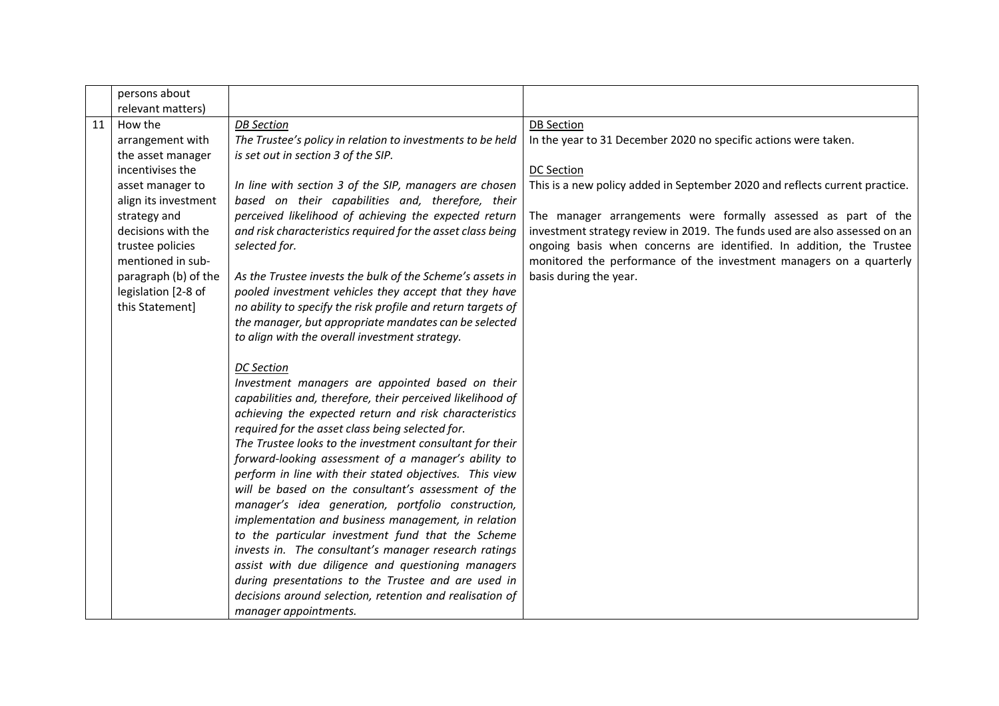|    | persons about        |                                                                                                         |                                                                             |
|----|----------------------|---------------------------------------------------------------------------------------------------------|-----------------------------------------------------------------------------|
|    | relevant matters)    |                                                                                                         |                                                                             |
| 11 | How the              | <b>DB</b> Section                                                                                       | <b>DB Section</b>                                                           |
|    | arrangement with     | The Trustee's policy in relation to investments to be held                                              | In the year to 31 December 2020 no specific actions were taken.             |
|    | the asset manager    | is set out in section 3 of the SIP.                                                                     |                                                                             |
|    | incentivises the     |                                                                                                         | <b>DC Section</b>                                                           |
|    | asset manager to     | In line with section 3 of the SIP, managers are chosen                                                  | This is a new policy added in September 2020 and reflects current practice. |
|    | align its investment | based on their capabilities and, therefore, their                                                       |                                                                             |
|    | strategy and         | perceived likelihood of achieving the expected return                                                   | The manager arrangements were formally assessed as part of the              |
|    | decisions with the   | and risk characteristics required for the asset class being                                             | investment strategy review in 2019. The funds used are also assessed on an  |
|    | trustee policies     | selected for.                                                                                           | ongoing basis when concerns are identified. In addition, the Trustee        |
|    | mentioned in sub-    |                                                                                                         | monitored the performance of the investment managers on a quarterly         |
|    | paragraph (b) of the | As the Trustee invests the bulk of the Scheme's assets in                                               | basis during the year.                                                      |
|    | legislation [2-8 of  | pooled investment vehicles they accept that they have                                                   |                                                                             |
|    | this Statement]      | no ability to specify the risk profile and return targets of                                            |                                                                             |
|    |                      | the manager, but appropriate mandates can be selected<br>to align with the overall investment strategy. |                                                                             |
|    |                      |                                                                                                         |                                                                             |
|    |                      | <b>DC</b> Section                                                                                       |                                                                             |
|    |                      | Investment managers are appointed based on their                                                        |                                                                             |
|    |                      | capabilities and, therefore, their perceived likelihood of                                              |                                                                             |
|    |                      | achieving the expected return and risk characteristics                                                  |                                                                             |
|    |                      | required for the asset class being selected for.                                                        |                                                                             |
|    |                      | The Trustee looks to the investment consultant for their                                                |                                                                             |
|    |                      | forward-looking assessment of a manager's ability to                                                    |                                                                             |
|    |                      | perform in line with their stated objectives. This view                                                 |                                                                             |
|    |                      | will be based on the consultant's assessment of the                                                     |                                                                             |
|    |                      | manager's idea generation, portfolio construction,                                                      |                                                                             |
|    |                      | implementation and business management, in relation                                                     |                                                                             |
|    |                      | to the particular investment fund that the Scheme                                                       |                                                                             |
|    |                      | invests in. The consultant's manager research ratings                                                   |                                                                             |
|    |                      | assist with due diligence and questioning managers                                                      |                                                                             |
|    |                      | during presentations to the Trustee and are used in                                                     |                                                                             |
|    |                      | decisions around selection, retention and realisation of                                                |                                                                             |
|    |                      | manager appointments.                                                                                   |                                                                             |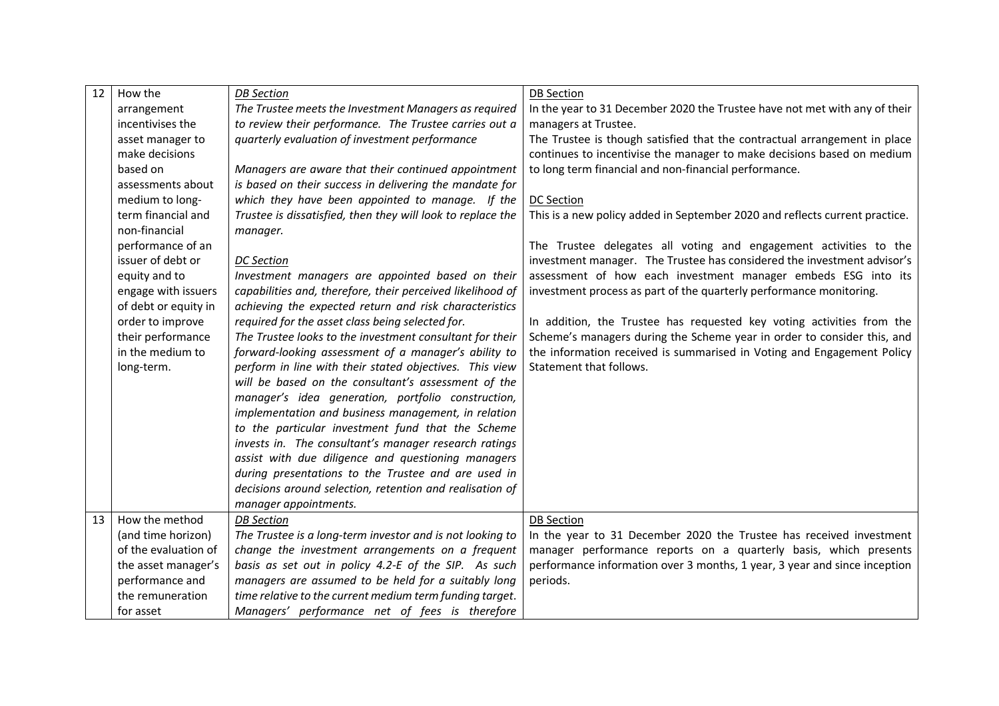| 12 | How the              | <b>DB</b> Section                                           | <b>DB</b> Section                                                           |
|----|----------------------|-------------------------------------------------------------|-----------------------------------------------------------------------------|
|    | arrangement          | The Trustee meets the Investment Managers as required       | In the year to 31 December 2020 the Trustee have not met with any of their  |
|    | incentivises the     | to review their performance. The Trustee carries out a      | managers at Trustee.                                                        |
|    | asset manager to     | quarterly evaluation of investment performance              | The Trustee is though satisfied that the contractual arrangement in place   |
|    | make decisions       |                                                             | continues to incentivise the manager to make decisions based on medium      |
|    | based on             | Managers are aware that their continued appointment         | to long term financial and non-financial performance.                       |
|    | assessments about    | is based on their success in delivering the mandate for     |                                                                             |
|    | medium to long-      | which they have been appointed to manage. If the            | <b>DC Section</b>                                                           |
|    | term financial and   | Trustee is dissatisfied, then they will look to replace the | This is a new policy added in September 2020 and reflects current practice. |
|    | non-financial        | manager.                                                    |                                                                             |
|    | performance of an    |                                                             | The Trustee delegates all voting and engagement activities to the           |
|    | issuer of debt or    | <b>DC</b> Section                                           | investment manager. The Trustee has considered the investment advisor's     |
|    | equity and to        | Investment managers are appointed based on their            | assessment of how each investment manager embeds ESG into its               |
|    | engage with issuers  | capabilities and, therefore, their perceived likelihood of  | investment process as part of the quarterly performance monitoring.         |
|    | of debt or equity in | achieving the expected return and risk characteristics      |                                                                             |
|    | order to improve     | required for the asset class being selected for.            | In addition, the Trustee has requested key voting activities from the       |
|    | their performance    | The Trustee looks to the investment consultant for their    | Scheme's managers during the Scheme year in order to consider this, and     |
|    | in the medium to     | forward-looking assessment of a manager's ability to        | the information received is summarised in Voting and Engagement Policy      |
|    | long-term.           | perform in line with their stated objectives. This view     | Statement that follows.                                                     |
|    |                      | will be based on the consultant's assessment of the         |                                                                             |
|    |                      | manager's idea generation, portfolio construction,          |                                                                             |
|    |                      | implementation and business management, in relation         |                                                                             |
|    |                      | to the particular investment fund that the Scheme           |                                                                             |
|    |                      | invests in. The consultant's manager research ratings       |                                                                             |
|    |                      | assist with due diligence and questioning managers          |                                                                             |
|    |                      | during presentations to the Trustee and are used in         |                                                                             |
|    |                      | decisions around selection, retention and realisation of    |                                                                             |
|    |                      | manager appointments.                                       |                                                                             |
| 13 | How the method       | <b>DB</b> Section                                           | <b>DB Section</b>                                                           |
|    | (and time horizon)   | The Trustee is a long-term investor and is not looking to   | In the year to 31 December 2020 the Trustee has received investment         |
|    | of the evaluation of | change the investment arrangements on a frequent            | manager performance reports on a quarterly basis, which presents            |
|    | the asset manager's  | basis as set out in policy 4.2-E of the SIP. As such        | performance information over 3 months, 1 year, 3 year and since inception   |
|    | performance and      | managers are assumed to be held for a suitably long         | periods.                                                                    |
|    | the remuneration     | time relative to the current medium term funding target.    |                                                                             |
|    | for asset            | Managers' performance net of fees is therefore              |                                                                             |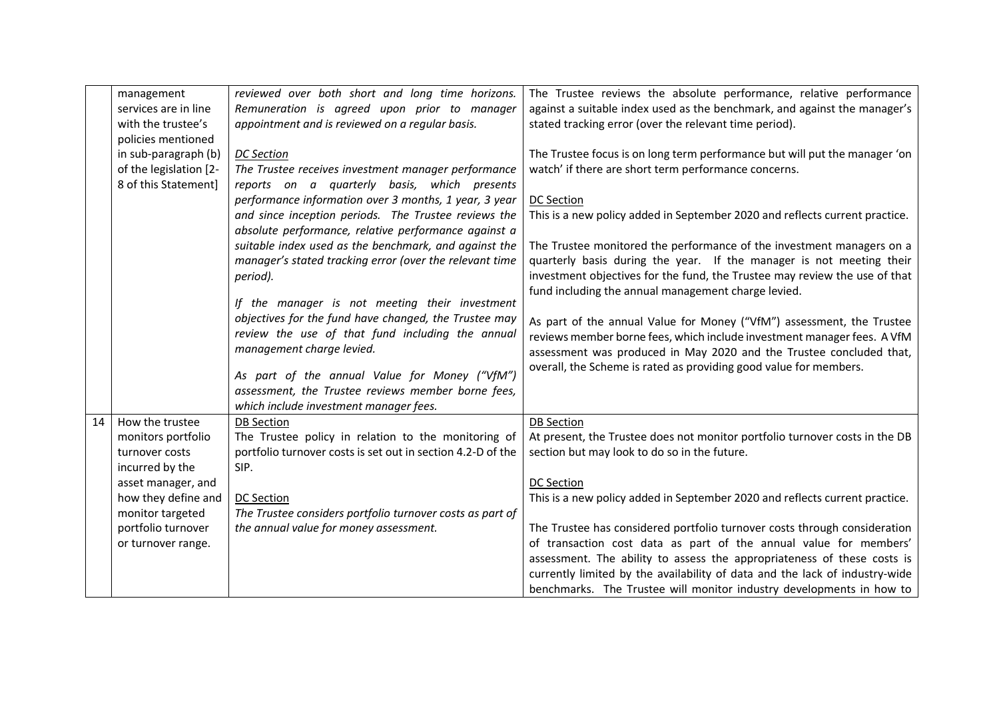|    | management             | reviewed over both short and long time horizons.            | The Trustee reviews the absolute performance, relative performance          |
|----|------------------------|-------------------------------------------------------------|-----------------------------------------------------------------------------|
|    | services are in line   | Remuneration is agreed upon prior to manager                | against a suitable index used as the benchmark, and against the manager's   |
|    | with the trustee's     | appointment and is reviewed on a regular basis.             | stated tracking error (over the relevant time period).                      |
|    | policies mentioned     |                                                             |                                                                             |
|    | in sub-paragraph (b)   | <b>DC</b> Section                                           | The Trustee focus is on long term performance but will put the manager 'on  |
|    | of the legislation [2- | The Trustee receives investment manager performance         | watch' if there are short term performance concerns.                        |
|    | 8 of this Statement]   | reports on a quarterly basis, which presents                |                                                                             |
|    |                        | performance information over 3 months, 1 year, 3 year       | DC Section                                                                  |
|    |                        |                                                             |                                                                             |
|    |                        | and since inception periods. The Trustee reviews the        | This is a new policy added in September 2020 and reflects current practice. |
|    |                        | absolute performance, relative performance against a        |                                                                             |
|    |                        | suitable index used as the benchmark, and against the       | The Trustee monitored the performance of the investment managers on a       |
|    |                        | manager's stated tracking error (over the relevant time     | quarterly basis during the year. If the manager is not meeting their        |
|    |                        | period).                                                    | investment objectives for the fund, the Trustee may review the use of that  |
|    |                        |                                                             | fund including the annual management charge levied.                         |
|    |                        | If the manager is not meeting their investment              |                                                                             |
|    |                        | objectives for the fund have changed, the Trustee may       | As part of the annual Value for Money ("VfM") assessment, the Trustee       |
|    |                        | review the use of that fund including the annual            | reviews member borne fees, which include investment manager fees. A VfM     |
|    |                        | management charge levied.                                   | assessment was produced in May 2020 and the Trustee concluded that,         |
|    |                        |                                                             | overall, the Scheme is rated as providing good value for members.           |
|    |                        | As part of the annual Value for Money ("VfM")               |                                                                             |
|    |                        | assessment, the Trustee reviews member borne fees,          |                                                                             |
|    |                        | which include investment manager fees.                      |                                                                             |
| 14 | How the trustee        | <b>DB Section</b>                                           | <b>DB Section</b>                                                           |
|    | monitors portfolio     | The Trustee policy in relation to the monitoring of         | At present, the Trustee does not monitor portfolio turnover costs in the DB |
|    | turnover costs         | portfolio turnover costs is set out in section 4.2-D of the | section but may look to do so in the future.                                |
|    | incurred by the        | SIP.                                                        |                                                                             |
|    | asset manager, and     |                                                             | <b>DC Section</b>                                                           |
|    | how they define and    | <b>DC Section</b>                                           | This is a new policy added in September 2020 and reflects current practice. |
|    | monitor targeted       | The Trustee considers portfolio turnover costs as part of   |                                                                             |
|    | portfolio turnover     | the annual value for money assessment.                      | The Trustee has considered portfolio turnover costs through consideration   |
|    | or turnover range.     |                                                             | of transaction cost data as part of the annual value for members'           |
|    |                        |                                                             | assessment. The ability to assess the appropriateness of these costs is     |
|    |                        |                                                             | currently limited by the availability of data and the lack of industry-wide |
|    |                        |                                                             | benchmarks. The Trustee will monitor industry developments in how to        |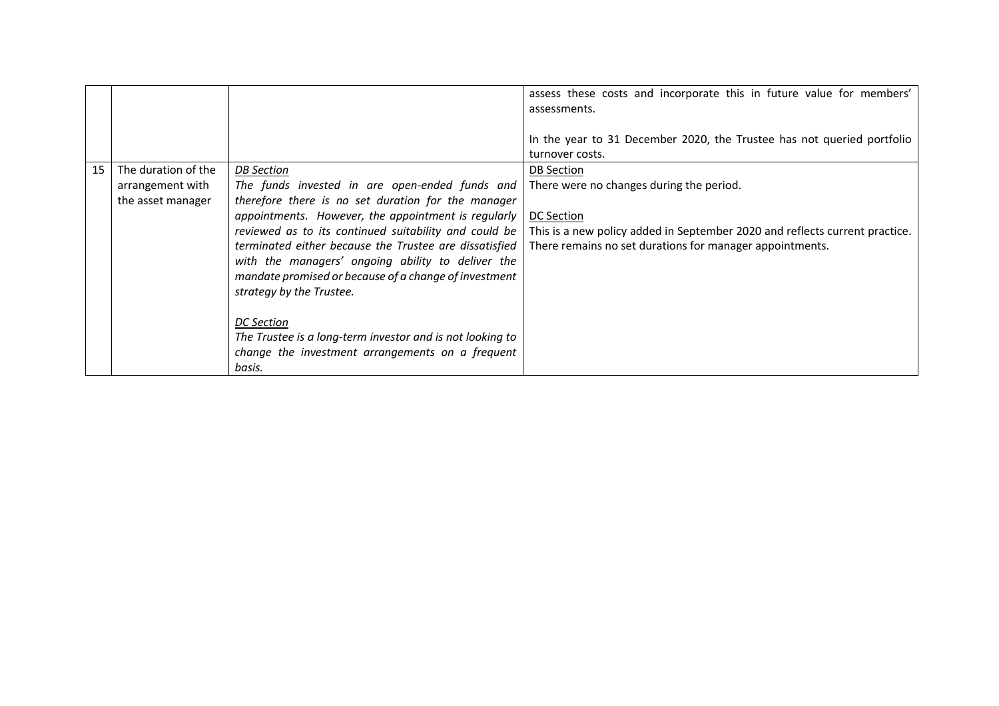|    |                                                              |                                                                                                                                                                                                                                                                                                                                                                                                                   | assess these costs and incorporate this in future value for members'<br>assessments.<br>In the year to 31 December 2020, the Trustee has not queried portfolio<br>turnover costs.                                      |
|----|--------------------------------------------------------------|-------------------------------------------------------------------------------------------------------------------------------------------------------------------------------------------------------------------------------------------------------------------------------------------------------------------------------------------------------------------------------------------------------------------|------------------------------------------------------------------------------------------------------------------------------------------------------------------------------------------------------------------------|
| 15 | The duration of the<br>arrangement with<br>the asset manager | <b>DB</b> Section<br>The funds invested in are open-ended funds and<br>therefore there is no set duration for the manager<br>appointments. However, the appointment is regularly<br>reviewed as to its continued suitability and could be<br>terminated either because the Trustee are dissatisfied<br>with the managers' ongoing ability to deliver the<br>mandate promised or because of a change of investment | <b>DB</b> Section<br>There were no changes during the period.<br>DC Section<br>This is a new policy added in September 2020 and reflects current practice.<br>There remains no set durations for manager appointments. |
|    |                                                              | strategy by the Trustee.<br><b>DC</b> Section<br>The Trustee is a long-term investor and is not looking to<br>change the investment arrangements on a frequent<br>basis.                                                                                                                                                                                                                                          |                                                                                                                                                                                                                        |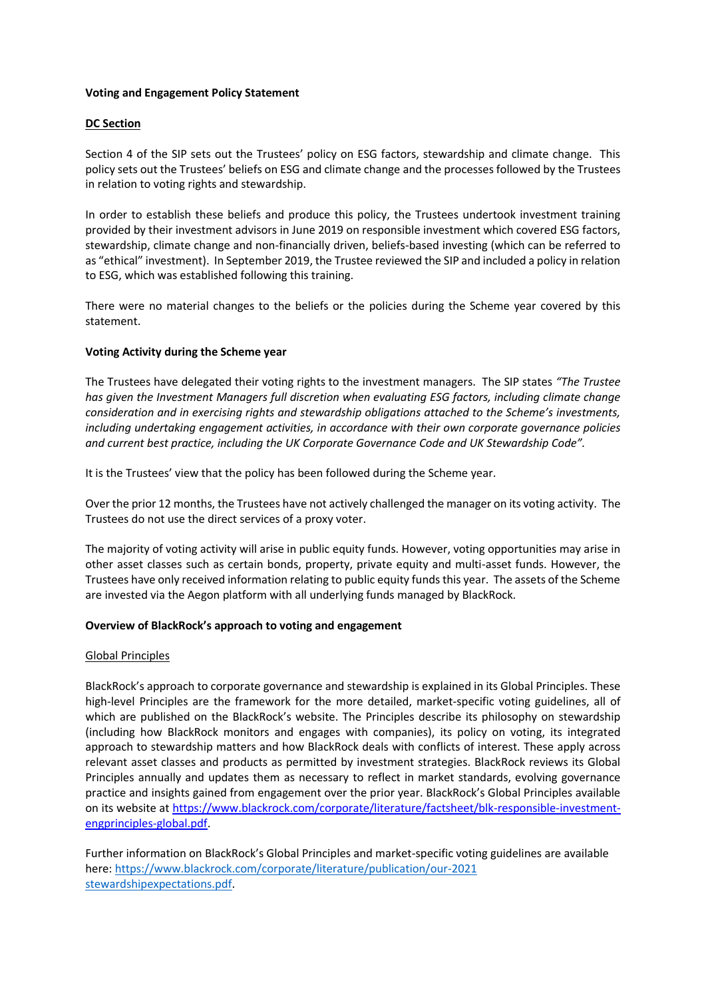### **Voting and Engagement Policy Statement**

## **DC Section**

Section 4 of the SIP sets out the Trustees' policy on ESG factors, stewardship and climate change. This policy sets out the Trustees' beliefs on ESG and climate change and the processes followed by the Trustees in relation to voting rights and stewardship.

In order to establish these beliefs and produce this policy, the Trustees undertook investment training provided by their investment advisors in June 2019 on responsible investment which covered ESG factors, stewardship, climate change and non-financially driven, beliefs-based investing (which can be referred to as "ethical" investment). In September 2019, the Trustee reviewed the SIP and included a policy in relation to ESG, which was established following this training.

There were no material changes to the beliefs or the policies during the Scheme year covered by this statement.

### **Voting Activity during the Scheme year**

The Trustees have delegated their voting rights to the investment managers. The SIP states *"The Trustee has given the Investment Managers full discretion when evaluating ESG factors, including climate change consideration and in exercising rights and stewardship obligations attached to the Scheme's investments, including undertaking engagement activities, in accordance with their own corporate governance policies and current best practice, including the UK Corporate Governance Code and UK Stewardship Code".*

It is the Trustees' view that the policy has been followed during the Scheme year.

Over the prior 12 months, the Trustees have not actively challenged the manager on its voting activity. The Trustees do not use the direct services of a proxy voter.

The majority of voting activity will arise in public equity funds. However, voting opportunities may arise in other asset classes such as certain bonds, property, private equity and multi-asset funds. However, the Trustees have only received information relating to public equity funds this year. The assets of the Scheme are invested via the Aegon platform with all underlying funds managed by BlackRock.

#### **Overview of BlackRock's approach to voting and engagement**

#### Global Principles

BlackRock's approach to corporate governance and stewardship is explained in its Global Principles. These high-level Principles are the framework for the more detailed, market-specific voting guidelines, all of which are published on the BlackRock's website. The Principles describe its philosophy on stewardship (including how BlackRock monitors and engages with companies), its policy on voting, its integrated approach to stewardship matters and how BlackRock deals with conflicts of interest. These apply across relevant asset classes and products as permitted by investment strategies. BlackRock reviews its Global Principles annually and updates them as necessary to reflect in market standards, evolving governance practice and insights gained from engagement over the prior year. BlackRock's Global Principles available on its website at [https://www.blackrock.com/corporate/literature/factsheet/blk-responsible-investment](https://www.blackrock.com/corporate/literature/factsheet/blk-responsible-investment-engprinciples-global.pdf)[engprinciples-global.pdf.](https://www.blackrock.com/corporate/literature/factsheet/blk-responsible-investment-engprinciples-global.pdf)

Further information on BlackRock's Global Principles and market-specific voting guidelines are available here: [https://www.blackrock.com/corporate/literature/publication/our-2021](https://www.blackrock.com/corporate/literature/publication/our-2021%20stewardshipexpectations.pdf)  [stewardshipexpectations.pdf.](https://www.blackrock.com/corporate/literature/publication/our-2021%20stewardshipexpectations.pdf)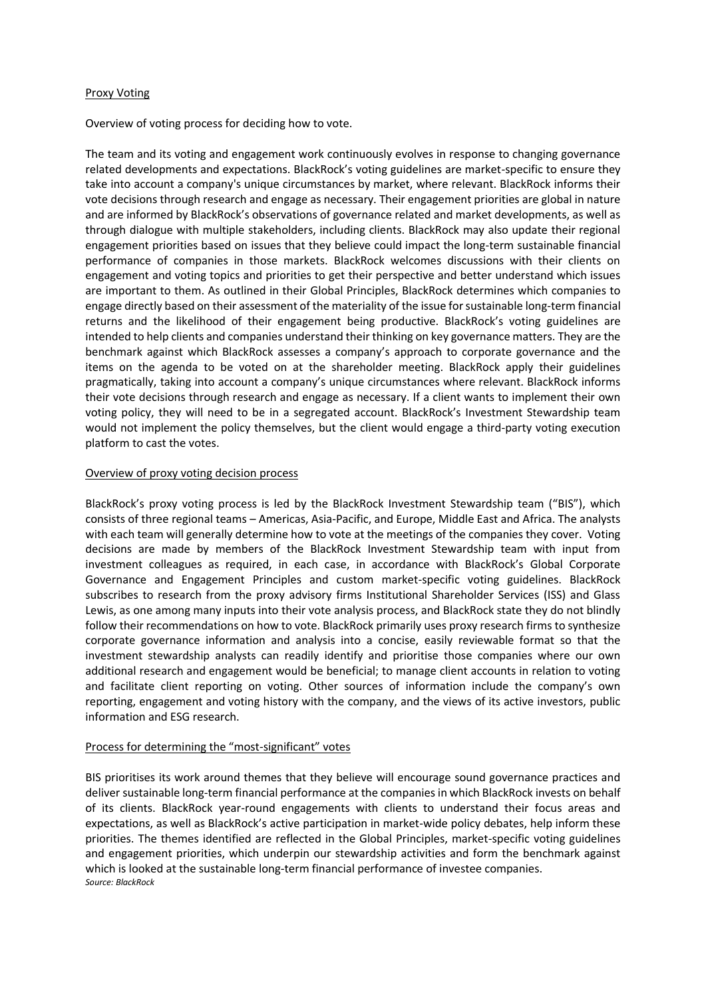#### Proxy Voting

Overview of voting process for deciding how to vote.

The team and its voting and engagement work continuously evolves in response to changing governance related developments and expectations. BlackRock's voting guidelines are market-specific to ensure they take into account a company's unique circumstances by market, where relevant. BlackRock informs their vote decisions through research and engage as necessary. Their engagement priorities are global in nature and are informed by BlackRock's observations of governance related and market developments, as well as through dialogue with multiple stakeholders, including clients. BlackRock may also update their regional engagement priorities based on issues that they believe could impact the long-term sustainable financial performance of companies in those markets. BlackRock welcomes discussions with their clients on engagement and voting topics and priorities to get their perspective and better understand which issues are important to them. As outlined in their Global Principles, BlackRock determines which companies to engage directly based on their assessment of the materiality of the issue for sustainable long-term financial returns and the likelihood of their engagement being productive. BlackRock's voting guidelines are intended to help clients and companies understand their thinking on key governance matters. They are the benchmark against which BlackRock assesses a company's approach to corporate governance and the items on the agenda to be voted on at the shareholder meeting. BlackRock apply their guidelines pragmatically, taking into account a company's unique circumstances where relevant. BlackRock informs their vote decisions through research and engage as necessary. If a client wants to implement their own voting policy, they will need to be in a segregated account. BlackRock's Investment Stewardship team would not implement the policy themselves, but the client would engage a third-party voting execution platform to cast the votes.

### Overview of proxy voting decision process

BlackRock's proxy voting process is led by the BlackRock Investment Stewardship team ("BIS"), which consists of three regional teams – Americas, Asia-Pacific, and Europe, Middle East and Africa. The analysts with each team will generally determine how to vote at the meetings of the companies they cover. Voting decisions are made by members of the BlackRock Investment Stewardship team with input from investment colleagues as required, in each case, in accordance with BlackRock's Global Corporate Governance and Engagement Principles and custom market-specific voting guidelines. BlackRock subscribes to research from the proxy advisory firms Institutional Shareholder Services (ISS) and Glass Lewis, as one among many inputs into their vote analysis process, and BlackRock state they do not blindly follow their recommendations on how to vote. BlackRock primarily uses proxy research firms to synthesize corporate governance information and analysis into a concise, easily reviewable format so that the investment stewardship analysts can readily identify and prioritise those companies where our own additional research and engagement would be beneficial; to manage client accounts in relation to voting and facilitate client reporting on voting. Other sources of information include the company's own reporting, engagement and voting history with the company, and the views of its active investors, public information and ESG research.

#### Process for determining the "most-significant" votes

BIS prioritises its work around themes that they believe will encourage sound governance practices and deliver sustainable long-term financial performance at the companies in which BlackRock invests on behalf of its clients. BlackRock year-round engagements with clients to understand their focus areas and expectations, as well as BlackRock's active participation in market-wide policy debates, help inform these priorities. The themes identified are reflected in the Global Principles, market-specific voting guidelines and engagement priorities, which underpin our stewardship activities and form the benchmark against which is looked at the sustainable long-term financial performance of investee companies. *Source: BlackRock*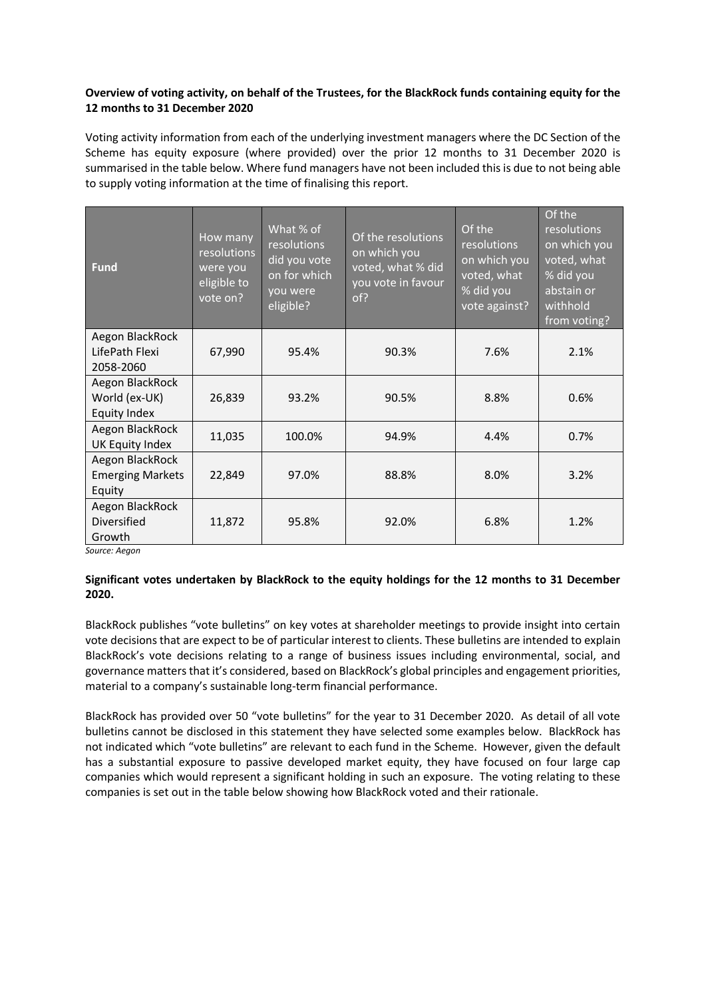## **Overview of voting activity, on behalf of the Trustees, for the BlackRock funds containing equity for the 12 months to 31 December 2020**

Voting activity information from each of the underlying investment managers where the DC Section of the Scheme has equity exposure (where provided) over the prior 12 months to 31 December 2020 is summarised in the table below. Where fund managers have not been included this is due to not being able to supply voting information at the time of finalising this report.

| <b>Fund</b>                                          | How many<br>resolutions<br>were you<br>eligible to<br>vote on? | What % of<br>resolutions<br>did you vote<br>on for which<br>you were<br>eligible? | Of the resolutions<br>on which you<br>voted, what % did<br>you vote in favour<br>of? | Of the<br>resolutions<br>on which you<br>voted, what<br>% did you<br>vote against? | Of the<br>resolutions<br>on which you<br>voted, what<br>% did you<br>abstain or<br>withhold<br>from voting? |
|------------------------------------------------------|----------------------------------------------------------------|-----------------------------------------------------------------------------------|--------------------------------------------------------------------------------------|------------------------------------------------------------------------------------|-------------------------------------------------------------------------------------------------------------|
| Aegon BlackRock<br>LifePath Flexi<br>2058-2060       | 67,990                                                         | 95.4%                                                                             | 90.3%                                                                                | 7.6%                                                                               | 2.1%                                                                                                        |
| Aegon BlackRock<br>World (ex-UK)<br>Equity Index     | 26,839                                                         | 93.2%                                                                             | 90.5%                                                                                | 8.8%                                                                               | 0.6%                                                                                                        |
| Aegon BlackRock<br>UK Equity Index                   | 11,035                                                         | 100.0%                                                                            | 94.9%                                                                                | 4.4%                                                                               | 0.7%                                                                                                        |
| Aegon BlackRock<br><b>Emerging Markets</b><br>Equity | 22,849                                                         | 97.0%                                                                             | 88.8%                                                                                | 8.0%                                                                               | 3.2%                                                                                                        |
| Aegon BlackRock<br>Diversified<br>Growth             | 11,872                                                         | 95.8%                                                                             | 92.0%                                                                                | 6.8%                                                                               | 1.2%                                                                                                        |

*Source: Aegon*

# **Significant votes undertaken by BlackRock to the equity holdings for the 12 months to 31 December 2020.**

BlackRock publishes "vote bulletins" on key votes at shareholder meetings to provide insight into certain vote decisions that are expect to be of particular interest to clients. These bulletins are intended to explain BlackRock's vote decisions relating to a range of business issues including environmental, social, and governance matters that it's considered, based on BlackRock's global principles and engagement priorities, material to a company's sustainable long-term financial performance.

BlackRock has provided over 50 "vote bulletins" for the year to 31 December 2020. As detail of all vote bulletins cannot be disclosed in this statement they have selected some examples below. BlackRock has not indicated which "vote bulletins" are relevant to each fund in the Scheme. However, given the default has a substantial exposure to passive developed market equity, they have focused on four large cap companies which would represent a significant holding in such an exposure. The voting relating to these companies is set out in the table below showing how BlackRock voted and their rationale.